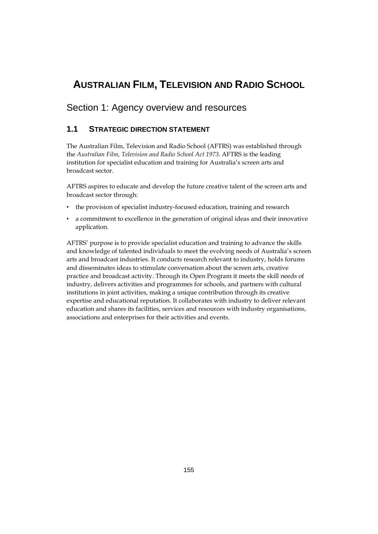# **AUSTRALIAN FILM, TELEVISION AND RADIO SCHOOL**

# Section 1: Agency overview and resources

# **1.1 STRATEGIC DIRECTION STATEMENT**

The Australian Film, Television and Radio School (AFTRS) was established through the *Australian Film, Television and Radio School Act 1973*. AFTRS is the leading institution for specialist education and training for Australia's screen arts and broadcast sector.

AFTRS aspires to educate and develop the future creative talent of the screen arts and broadcast sector through:

- the provision of specialist industry-focused education, training and research
- a commitment to excellence in the generation of original ideas and their innovative application.

AFTRS' purpose is to provide specialist education and training to advance the skills and knowledge of talented individuals to meet the evolving needs of Australia's screen arts and broadcast industries. It conducts research relevant to industry, holds forums and disseminates ideas to stimulate conversation about the screen arts, creative practice and broadcast activity. Through its Open Program it meets the skill needs of industry, delivers activities and programmes for schools, and partners with cultural institutions in joint activities, making a unique contribution through its creative expertise and educational reputation. It collaborates with industry to deliver relevant education and shares its facilities, services and resources with industry organisations, associations and enterprises for their activities and events.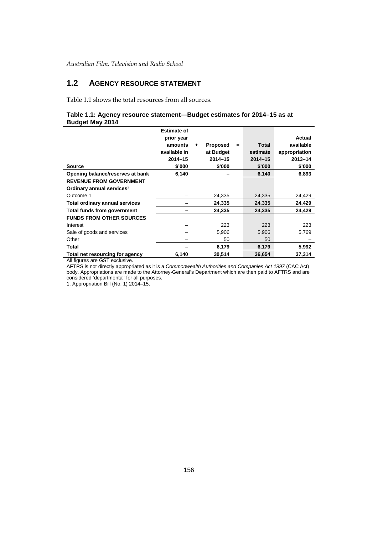# **1.2 AGENCY RESOURCE STATEMENT**

Table 1.1 shows the total resources from all sources.

### **Table 1.1: Agency resource statement—Budget estimates for 2014–15 as at Budget May 2014**

|                                       | <b>Estimate of</b> |    |                 |     |             |               |
|---------------------------------------|--------------------|----|-----------------|-----|-------------|---------------|
|                                       | prior year         |    |                 |     |             | Actual        |
|                                       | amounts            | ÷. | <b>Proposed</b> | $=$ | Total       | available     |
|                                       | available in       |    | at Budget       |     | estimate    | appropriation |
|                                       | $2014 - 15$        |    | $2014 - 15$     |     | $2014 - 15$ | $2013 - 14$   |
| <b>Source</b>                         | \$'000             |    | \$'000          |     | \$'000      | \$'000        |
| Opening balance/reserves at bank      | 6,140              |    |                 |     | 6,140       | 6,893         |
| <b>REVENUE FROM GOVERNMENT</b>        |                    |    |                 |     |             |               |
| Ordinary annual services <sup>1</sup> |                    |    |                 |     |             |               |
| Outcome 1                             |                    |    | 24,335          |     | 24,335      | 24,429        |
| <b>Total ordinary annual services</b> |                    |    | 24.335          |     | 24.335      | 24,429        |
| <b>Total funds from government</b>    |                    |    | 24,335          |     | 24,335      | 24,429        |
| <b>FUNDS FROM OTHER SOURCES</b>       |                    |    |                 |     |             |               |
| Interest                              |                    |    | 223             |     | 223         | 223           |
| Sale of goods and services            |                    |    | 5,906           |     | 5,906       | 5,769         |
| Other                                 |                    |    | 50              |     | 50          |               |
| Total                                 |                    |    | 6,179           |     | 6,179       | 5,992         |
| Total net resourcing for agency       | 6,140              |    | 30,514          |     | 36,654      | 37,314        |

All figures are GST exclusive.

AFTRS is not directly appropriated as it is a *Commonwealth Authorities and Companies Act 1997* (CAC Act) body. Appropriations are made to the Attorney-General's Department which are then paid to AFTRS and are considered 'departmental' for all purposes.

1. Appropriation Bill (No. 1) 2014–15.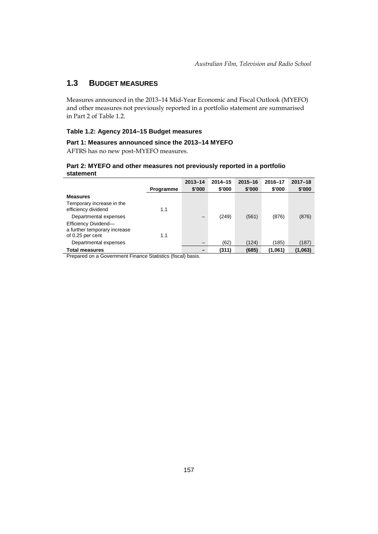# **1.3 BUDGET MEASURES**

Measures announced in the 2013–14 Mid-Year Economic and Fiscal Outlook (MYEFO) and other measures not previously reported in a portfolio statement are summarised in Part 2 of Table 1.2.

### **Table 1.2: Agency 2014–15 Budget measures**

# **Part 1: Measures announced since the 2013–14 MYEFO**

AFTRS has no new post-MYEFO measures.

### **Part 2: MYEFO and other measures not previously reported in a portfolio statement**

|                                                      |                  | $2013 - 14$              | $2014 - 15$ | $2015 - 16$ | 2016-17 | $2017 - 18$ |
|------------------------------------------------------|------------------|--------------------------|-------------|-------------|---------|-------------|
|                                                      | <b>Programme</b> | \$'000                   | \$'000      | \$'000      | \$'000  | \$'000      |
| <b>Measures</b>                                      |                  |                          |             |             |         |             |
| Temporary increase in the<br>efficiency dividend     | 1.1              |                          |             |             |         |             |
| Departmental expenses                                |                  | $\overline{\phantom{0}}$ | (249)       | (561)       | (876)   | (876)       |
| Efficiency Dividend-<br>a further temporary increase |                  |                          |             |             |         |             |
| of 0.25 per cent                                     | 1.1              |                          |             |             |         |             |
| Departmental expenses                                |                  | $\qquad \qquad$          | (62)        | (124)       | (185)   | (187)       |
| <b>Total measures</b>                                |                  |                          | (311)       | (685)       | (1.061) | (1,063)     |

Prepared on a Government Finance Statistics (fiscal) basis.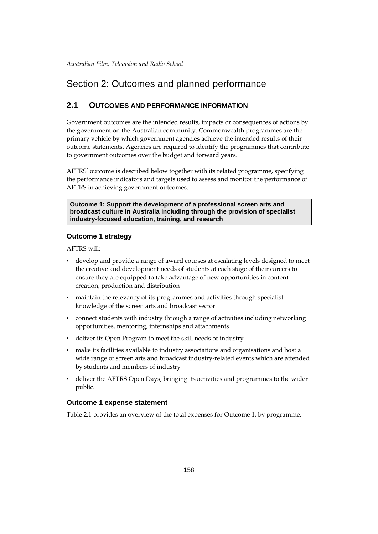# Section 2: Outcomes and planned performance

# **2.1 OUTCOMES AND PERFORMANCE INFORMATION**

Government outcomes are the intended results, impacts or consequences of actions by the government on the Australian community. Commonwealth programmes are the primary vehicle by which government agencies achieve the intended results of their outcome statements. Agencies are required to identify the programmes that contribute to government outcomes over the budget and forward years.

AFTRS' outcome is described below together with its related programme, specifying the performance indicators and targets used to assess and monitor the performance of AFTRS in achieving government outcomes.

**Outcome 1: Support the development of a professional screen arts and broadcast culture in Australia including through the provision of specialist industry-focused education, training, and research**

### **Outcome 1 strategy**

AFTRS will:

- develop and provide a range of award courses at escalating levels designed to meet the creative and development needs of students at each stage of their careers to ensure they are equipped to take advantage of new opportunities in content creation, production and distribution
- maintain the relevancy of its programmes and activities through specialist knowledge of the screen arts and broadcast sector
- connect students with industry through a range of activities including networking opportunities, mentoring, internships and attachments
- deliver its Open Program to meet the skill needs of industry
- make its facilities available to industry associations and organisations and host a wide range of screen arts and broadcast industry-related events which are attended by students and members of industry
- deliver the AFTRS Open Days, bringing its activities and programmes to the wider public.

### **Outcome 1 expense statement**

Table 2.1 provides an overview of the total expenses for Outcome 1, by programme.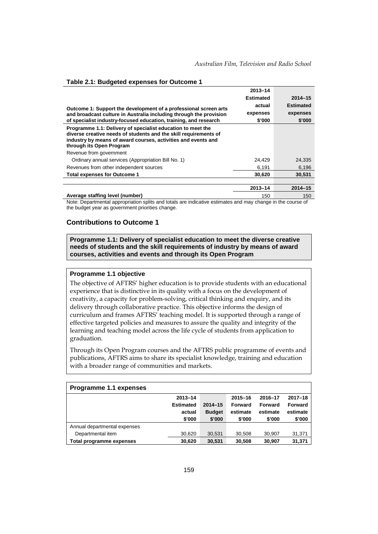|                                                                                                                                                                                                                              | 2013-14   |                  |
|------------------------------------------------------------------------------------------------------------------------------------------------------------------------------------------------------------------------------|-----------|------------------|
|                                                                                                                                                                                                                              | Estimated | $2014 - 15$      |
| Outcome 1: Support the development of a professional screen arts                                                                                                                                                             | actual    | <b>Estimated</b> |
| and broadcast culture in Australia including through the provision                                                                                                                                                           | expenses  | expenses         |
| of specialist industry-focused education, training, and research                                                                                                                                                             | \$'000    | \$'000           |
| Programme 1.1: Delivery of specialist education to meet the<br>diverse creative needs of students and the skill requirements of<br>industry by means of award courses, activities and events and<br>through its Open Program |           |                  |
| Revenue from government                                                                                                                                                                                                      |           |                  |
| Ordinary annual services (Appropriation Bill No. 1)                                                                                                                                                                          | 24,429    | 24.335           |
| Revenues from other independent sources                                                                                                                                                                                      | 6.191     | 6,196            |
| <b>Total expenses for Outcome 1</b>                                                                                                                                                                                          | 30,620    | 30.531           |
|                                                                                                                                                                                                                              |           |                  |
|                                                                                                                                                                                                                              | 2013-14   | $2014 - 15$      |

#### **Table 2.1: Budgeted expenses for Outcome 1**

**Average staffing level (number)** 150 150 Note: Departmental appropriation splits and totals are indicative estimates and may change in the course of the budget year as government priorities change.

#### **Contributions to Outcome 1**

**Programme 1.1: Delivery of specialist education to meet the diverse creative needs of students and the skill requirements of industry by means of award courses, activities and events and through its Open Program**

### **Programme 1.1 objective**

The objective of AFTRS' higher education is to provide students with an educational experience that is distinctive in its quality with a focus on the development of creativity, a capacity for problem-solving, critical thinking and enquiry, and its delivery through collaborative practice. This objective informs the design of curriculum and frames AFTRS' teaching model. It is supported through a range of effective targeted policies and measures to assure the quality and integrity of the learning and teaching model across the life cycle of students from application to graduation.

Through its Open Program courses and the AFTRS public programme of events and publications, AFTRS aims to share its specialist knowledge, training and education with a broader range of communities and markets.

| Programme 1.1 expenses       |                  |               |                |          |             |
|------------------------------|------------------|---------------|----------------|----------|-------------|
|                              | 2013-14          |               | $2015 - 16$    | 2016-17  | $2017 - 18$ |
|                              | <b>Estimated</b> | $2014 - 15$   | <b>Forward</b> | Forward  | Forward     |
|                              | actual           | <b>Budget</b> | estimate       | estimate | estimate    |
|                              | \$'000           | \$'000        | \$'000         | \$'000   | \$'000      |
| Annual departmental expenses |                  |               |                |          |             |
| Departmental item            | 30,620           | 30,531        | 30.508         | 30,907   | 31,371      |
| Total programme expenses     | 30.620           | 30.531        | 30.508         | 30.907   | 31.371      |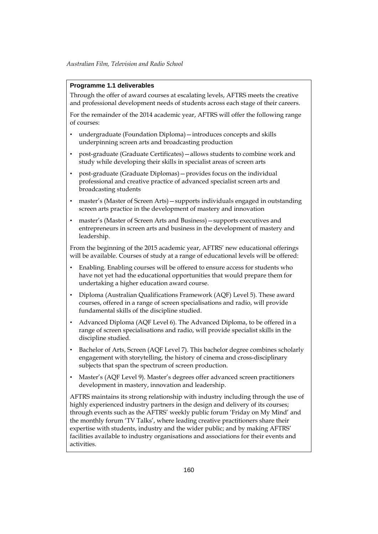### **Programme 1.1 deliverables**

Through the offer of award courses at escalating levels, AFTRS meets the creative and professional development needs of students across each stage of their careers.

For the remainder of the 2014 academic year, AFTRS will offer the following range of courses:

- undergraduate (Foundation Diploma)—introduces concepts and skills underpinning screen arts and broadcasting production
- post-graduate (Graduate Certificates)—allows students to combine work and study while developing their skills in specialist areas of screen arts
- post-graduate (Graduate Diplomas)—provides focus on the individual professional and creative practice of advanced specialist screen arts and broadcasting students
- master's (Master of Screen Arts)—supports individuals engaged in outstanding screen arts practice in the development of mastery and innovation
- master's (Master of Screen Arts and Business)—supports executives and entrepreneurs in screen arts and business in the development of mastery and leadership.

From the beginning of the 2015 academic year, AFTRS' new educational offerings will be available. Courses of study at a range of educational levels will be offered:

- Enabling. Enabling courses will be offered to ensure access for students who have not yet had the educational opportunities that would prepare them for undertaking a higher education award course.
- Diploma (Australian Qualifications Framework (AQF) Level 5). These award courses, offered in a range of screen specialisations and radio, will provide fundamental skills of the discipline studied.
- Advanced Diploma (AQF Level 6). The Advanced Diploma, to be offered in a range of screen specialisations and radio, will provide specialist skills in the discipline studied.
- Bachelor of Arts, Screen (AQF Level 7). This bachelor degree combines scholarly engagement with storytelling, the history of cinema and cross-disciplinary subjects that span the spectrum of screen production.
- Master's (AQF Level 9). Master's degrees offer advanced screen practitioners development in mastery, innovation and leadership.

AFTRS maintains its strong relationship with industry including through the use of highly experienced industry partners in the design and delivery of its courses; through events such as the AFTRS' weekly public forum 'Friday on My Mind' and the monthly forum 'TV Talks', where leading creative practitioners share their expertise with students, industry and the wider public; and by making AFTRS' facilities available to industry organisations and associations for their events and activities.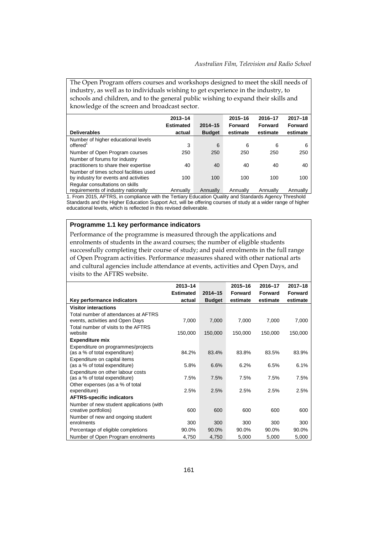The Open Program offers courses and workshops designed to meet the skill needs of industry, as well as to individuals wishing to get experience in the industry, to schools and children, and to the general public wishing to expand their skills and knowledge of the screen and broadcast sector.

|                                                                                            | $2013 - 14$      |               | $2015 - 16$                                 | 2016-17  | $2017 - 18$    |
|--------------------------------------------------------------------------------------------|------------------|---------------|---------------------------------------------|----------|----------------|
|                                                                                            | <b>Estimated</b> | $2014 - 15$   | Forward                                     | Forward  | <b>Forward</b> |
| <b>Deliverables</b>                                                                        | actual           | <b>Budget</b> | estimate                                    | estimate | estimate       |
| Number of higher educational levels<br>offered <sup>1</sup>                                | 3                | 6             | 6                                           | 6        | 6              |
| Number of Open Program courses                                                             | 250              | 250           | 250                                         | 250      | 250            |
| Number of forums for industry<br>practitioners to share their expertise                    | 40               | 40            | 40                                          | 40       | 40             |
| Number of times school facilities used<br>by industry for events and activities            | 100              | 100           | 100                                         | 100      | 100            |
| Regular consultations on skills<br>a contra con contra del tradicione del contra con llega |                  |               | Associated Associated Associated Associated |          |                |

requirements of industry nationally Annually Annually Annually Annually Annually 1. From 2015, AFTRS, in compliance with the Tertiary Education Quality and Standards Agency Threshold Standards and the Higher Education Support Act, will be offering courses of study at a wider range of higher

educational levels, which is reflected in this revised deliverable.

### **Programme 1.1 key performance indicators**

Performance of the programme is measured through the applications and enrolments of students in the award courses; the number of eligible students successfully completing their course of study; and paid enrolments in the full range of Open Program activities. Performance measures shared with other national arts and cultural agencies include attendance at events, activities and Open Days, and visits to the AFTRS website.

|                                                                          | 2013-14          |               | 2015-16  | 2016-17  | $2017 - 18$    |
|--------------------------------------------------------------------------|------------------|---------------|----------|----------|----------------|
|                                                                          | <b>Estimated</b> | $2014 - 15$   | Forward  | Forward  | <b>Forward</b> |
| Key performance indicators                                               | actual           | <b>Budget</b> | estimate | estimate | estimate       |
| <b>Visitor interactions</b>                                              |                  |               |          |          |                |
| Total number of attendances at AFTRS<br>events, activities and Open Days | 7,000            | 7,000         | 7,000    | 7,000    | 7,000          |
| Total number of visits to the AFTRS<br>website                           | 150,000          | 150,000       | 150,000  | 150,000  | 150,000        |
| <b>Expenditure mix</b>                                                   |                  |               |          |          |                |
| Expenditure on programmes/projects<br>(as a % of total expenditure)      | 84.2%            | 83.4%         | 83.8%    | 83.5%    | 83.9%          |
| Expenditure on capital items<br>(as a % of total expenditure)            | 5.8%             | 6.6%          | 6.2%     | 6.5%     | 6.1%           |
| Expenditure on other labour costs<br>(as a % of total expenditure)       | 7.5%             | 7.5%          | 7.5%     | 7.5%     | 7.5%           |
| Other expenses (as a % of total<br>expenditure)                          | 2.5%             | 2.5%          | 2.5%     | 2.5%     | 2.5%           |
| <b>AFTRS-specific indicators</b>                                         |                  |               |          |          |                |
| Number of new student applications (with<br>creative portfolios)         | 600              | 600           | 600      | 600      | 600            |
| Number of new and ongoing student<br>enrolments                          | 300              | 300           | 300      | 300      | 300            |
| Percentage of eligible completions                                       | 90.0%            | 90.0%         | 90.0%    | 90.0%    | 90.0%          |
| Number of Open Program enrolments                                        | 4,750            | 4,750         | 5,000    | 5,000    | 5,000          |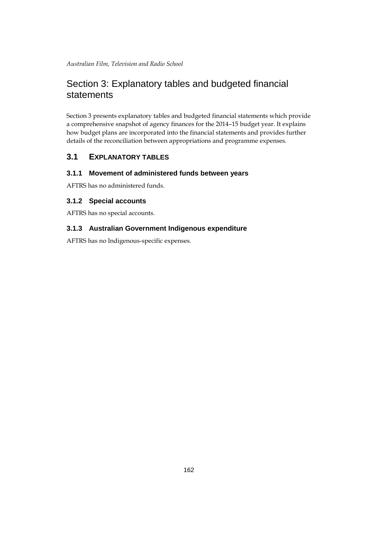# Section 3: Explanatory tables and budgeted financial statements

Section 3 presents explanatory tables and budgeted financial statements which provide a comprehensive snapshot of agency finances for the 2014–15 budget year. It explains how budget plans are incorporated into the financial statements and provides further details of the reconciliation between appropriations and programme expenses.

# **3.1 EXPLANATORY TABLES**

# **3.1.1 Movement of administered funds between years**

AFTRS has no administered funds.

# **3.1.2 Special accounts**

AFTRS has no special accounts.

# **3.1.3 Australian Government Indigenous expenditure**

AFTRS has no Indigenous-specific expenses.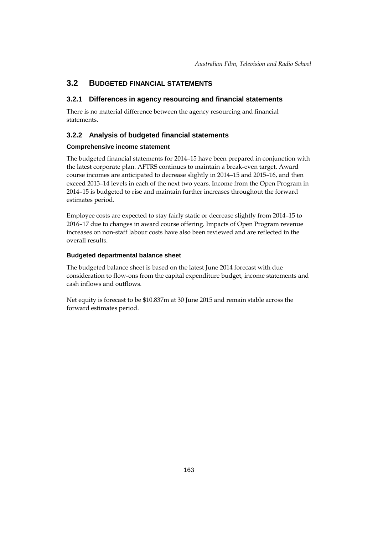# **3.2 BUDGETED FINANCIAL STATEMENTS**

### **3.2.1 Differences in agency resourcing and financial statements**

There is no material difference between the agency resourcing and financial statements.

# **3.2.2 Analysis of budgeted financial statements**

### **Comprehensive income statement**

The budgeted financial statements for 2014–15 have been prepared in conjunction with the latest corporate plan. AFTRS continues to maintain a break-even target. Award course incomes are anticipated to decrease slightly in 2014–15 and 2015–16, and then exceed 2013–14 levels in each of the next two years. Income from the Open Program in 2014–15 is budgeted to rise and maintain further increases throughout the forward estimates period.

Employee costs are expected to stay fairly static or decrease slightly from 2014–15 to 2016–17 due to changes in award course offering. Impacts of Open Program revenue increases on non-staff labour costs have also been reviewed and are reflected in the overall results.

### **Budgeted departmental balance sheet**

The budgeted balance sheet is based on the latest June 2014 forecast with due consideration to flow-ons from the capital expenditure budget, income statements and cash inflows and outflows.

Net equity is forecast to be \$10.837m at 30 June 2015 and remain stable across the forward estimates period.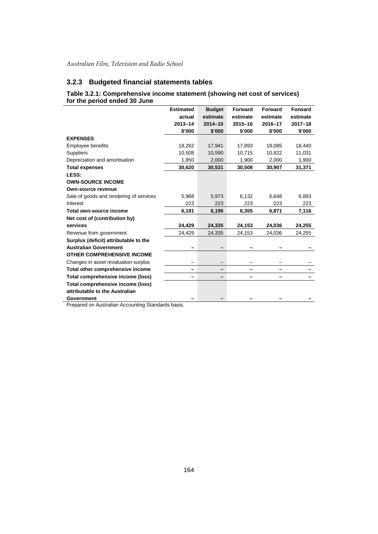# **3.2.3 Budgeted financial statements tables**

### **Table 3.2.1: Comprehensive income statement (showing net cost of services) for the period ended 30 June**

| <b>Estimated</b> | <b>Budget</b>                                            | <b>Forward</b> | <b>Forward</b> | Forward     |
|------------------|----------------------------------------------------------|----------------|----------------|-------------|
| actual           | estimate                                                 | estimate       | estimate       | estimate    |
| $2013 - 14$      | $2014 - 15$                                              | $2015 - 16$    | 2016-17        | $2017 - 18$ |
| \$'000           | \$'000                                                   | \$'000         | \$'000         | \$'000      |
|                  |                                                          |                |                |             |
| 18,262           | 17,941                                                   | 17,893         | 18,085         | 18,440      |
| 10,508           | 10,590                                                   | 10,715         | 10,822         | 11,031      |
| 1,850            | 2,000                                                    | 1,900          | 2,000          | 1,900       |
| 30,620           | 30,531                                                   | 30,508         | 30,907         | 31,371      |
|                  |                                                          |                |                |             |
|                  |                                                          |                |                |             |
|                  |                                                          |                |                |             |
| 5,968            | 5,973                                                    | 6,132          | 6,648          | 6,893       |
| 223              | 223                                                      | 223            | 223            | 223         |
| 6,191            | 6,196                                                    | 6,355          | 6,871          | 7,116       |
|                  |                                                          |                |                |             |
| 24,429           | 24,335                                                   | 24,153         | 24,036         | 24,255      |
| 24,429           | 24,335                                                   | 24,153         | 24,036         | 24,255      |
|                  |                                                          |                |                |             |
|                  |                                                          |                |                |             |
|                  |                                                          |                |                |             |
|                  |                                                          |                |                |             |
|                  |                                                          |                |                |             |
|                  |                                                          |                |                |             |
|                  |                                                          |                |                |             |
|                  |                                                          |                |                |             |
|                  |                                                          |                |                |             |
|                  | <b>Propared on Australian Accounting Standards basis</b> |                |                |             |

Prepared on Australian Accounting Standards basis.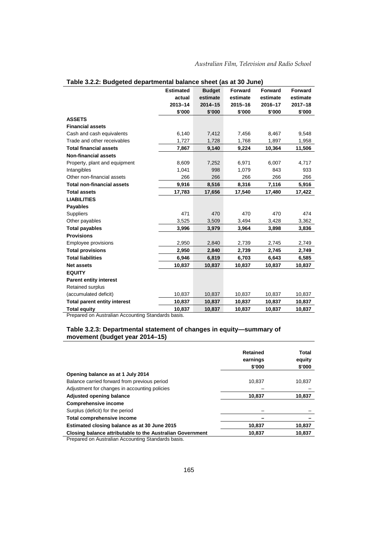|                                     | <b>Estimated</b> | <b>Budget</b> | <b>Forward</b> | <b>Forward</b> | <b>Forward</b> |
|-------------------------------------|------------------|---------------|----------------|----------------|----------------|
|                                     | actual           | estimate      | estimate       | estimate       | estimate       |
|                                     | $2013 - 14$      | $2014 - 15$   | 2015-16        | 2016-17        | $2017 - 18$    |
|                                     | \$'000           | \$'000        | \$'000         | \$'000         | \$'000         |
| <b>ASSETS</b>                       |                  |               |                |                |                |
| <b>Financial assets</b>             |                  |               |                |                |                |
| Cash and cash equivalents           | 6,140            | 7,412         | 7,456          | 8,467          | 9,548          |
| Trade and other receivables         | 1,727            | 1,728         | 1,768          | 1,897          | 1,958          |
| <b>Total financial assets</b>       | 7,867            | 9,140         | 9,224          | 10,364         | 11,506         |
| <b>Non-financial assets</b>         |                  |               |                |                |                |
| Property, plant and equipment       | 8,609            | 7,252         | 6,971          | 6,007          | 4,717          |
| Intangibles                         | 1,041            | 998           | 1,079          | 843            | 933            |
| Other non-financial assets          | 266              | 266           | 266            | 266            | 266            |
| <b>Total non-financial assets</b>   | 9,916            | 8,516         | 8,316          | 7,116          | 5,916          |
| <b>Total assets</b>                 | 17,783           | 17,656        | 17,540         | 17,480         | 17,422         |
| <b>LIABILITIES</b>                  |                  |               |                |                |                |
| <b>Payables</b>                     |                  |               |                |                |                |
| <b>Suppliers</b>                    | 471              | 470           | 470            | 470            | 474            |
| Other payables                      | 3,525            | 3,509         | 3,494          | 3,428          | 3,362          |
| <b>Total payables</b>               | 3,996            | 3,979         | 3,964          | 3,898          | 3,836          |
| <b>Provisions</b>                   |                  |               |                |                |                |
| Employee provisions                 | 2,950            | 2,840         | 2,739          | 2,745          | 2,749          |
| <b>Total provisions</b>             | 2,950            | 2,840         | 2,739          | 2,745          | 2,749          |
| <b>Total liabilities</b>            | 6,946            | 6,819         | 6,703          | 6,643          | 6,585          |
| <b>Net assets</b>                   | 10,837           | 10,837        | 10,837         | 10,837         | 10,837         |
| <b>EQUITY</b>                       |                  |               |                |                |                |
| <b>Parent entity interest</b>       |                  |               |                |                |                |
| Retained surplus                    |                  |               |                |                |                |
| (accumulated deficit)               | 10,837           | 10,837        | 10,837         | 10,837         | 10,837         |
| <b>Total parent entity interest</b> | 10,837           | 10,837        | 10,837         | 10,837         | 10,837         |
| <b>Total equity</b>                 | 10,837           | 10,837        | 10,837         | 10,837         | 10,837         |

|  | Table 3.2.2: Budgeted departmental balance sheet (as at 30 June) |  |
|--|------------------------------------------------------------------|--|
|--|------------------------------------------------------------------|--|

Prepared on Australian Accounting Standards basis.

# **Table 3.2.3: Departmental statement of changes in equity—summary of movement (budget year 2014–15)**

|                                                           | <b>Retained</b><br>earnings<br>\$'000 | Total<br>equity<br>\$'000 |
|-----------------------------------------------------------|---------------------------------------|---------------------------|
| Opening balance as at 1 July 2014                         |                                       |                           |
| Balance carried forward from previous period              | 10.837                                | 10,837                    |
| Adjustment for changes in accounting policies             |                                       |                           |
| Adjusted opening balance                                  | 10.837                                | 10,837                    |
| <b>Comprehensive income</b>                               |                                       |                           |
| Surplus (deficit) for the period                          |                                       |                           |
| Total comprehensive income                                |                                       |                           |
| Estimated closing balance as at 30 June 2015              | 10.837                                | 10,837                    |
| Closing balance attributable to the Australian Government | 10.837                                | 10.837                    |

**Prepared on Australian Accounting Standards basis.**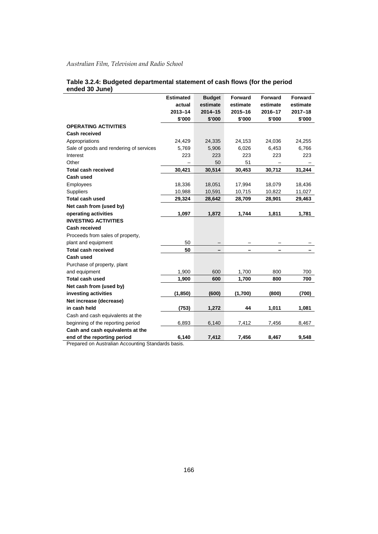|                                         | <b>Estimated</b> | <b>Budget</b> | Forward     | <b>Forward</b> | <b>Forward</b> |
|-----------------------------------------|------------------|---------------|-------------|----------------|----------------|
|                                         | actual           | estimate      | estimate    | estimate       | estimate       |
|                                         | $2013 - 14$      | $2014 - 15$   | $2015 - 16$ | 2016-17        | $2017 - 18$    |
|                                         | \$'000           | \$'000        | \$'000      | \$'000         | \$'000         |
| <b>OPERATING ACTIVITIES</b>             |                  |               |             |                |                |
| <b>Cash received</b>                    |                  |               |             |                |                |
| Appropriations                          | 24,429           | 24,335        | 24,153      | 24,036         | 24,255         |
| Sale of goods and rendering of services | 5,769            | 5,906         | 6,026       | 6,453          | 6,766          |
| Interest                                | 223              | 223           | 223         | 223            | 223            |
| Other                                   |                  | 50            | 51          |                |                |
| <b>Total cash received</b>              | 30,421           | 30,514        | 30,453      | 30,712         | 31,244         |
| Cash used                               |                  |               |             |                |                |
| Employees                               | 18,336           | 18,051        | 17,994      | 18,079         | 18,436         |
| Suppliers                               | 10,988           | 10,591        | 10,715      | 10,822         | 11,027         |
| <b>Total cash used</b>                  | 29,324           | 28,642        | 28,709      | 28,901         | 29,463         |
| Net cash from (used by)                 |                  |               |             |                |                |
| operating activities                    | 1,097            | 1,872         | 1,744       | 1,811          | 1,781          |
| <b>INVESTING ACTIVITIES</b>             |                  |               |             |                |                |
| Cash received                           |                  |               |             |                |                |
| Proceeds from sales of property,        |                  |               |             |                |                |
| plant and equipment                     | 50               |               |             |                |                |
| <b>Total cash received</b>              | 50               |               |             |                |                |
| Cash used                               |                  |               |             |                |                |
| Purchase of property, plant             |                  |               |             |                |                |
| and equipment                           | 1,900            | 600           | 1,700       | 800            | 700            |
| <b>Total cash used</b>                  | 1,900            | 600           | 1,700       | 800            | 700            |
| Net cash from (used by)                 |                  |               |             |                |                |
| investing activities                    | (1, 850)         | (600)         | (1,700)     | (800)          | (700)          |
| Net increase (decrease)                 |                  |               |             |                |                |
| in cash held                            | (753)            | 1,272         | 44          | 1,011          | 1,081          |
| Cash and cash equivalents at the        |                  |               |             |                |                |
| beginning of the reporting period       | 6,893            | 6,140         | 7,412       | 7,456          | 8,467          |
| Cash and cash equivalents at the        |                  |               |             |                |                |
| end of the reporting period             | 6,140            | 7,412         | 7,456       | 8,467          | 9,548          |

### **Table 3.2.4: Budgeted departmental statement of cash flows (for the period ended 30 June)**

Prepared on Australian Accounting Standards basis.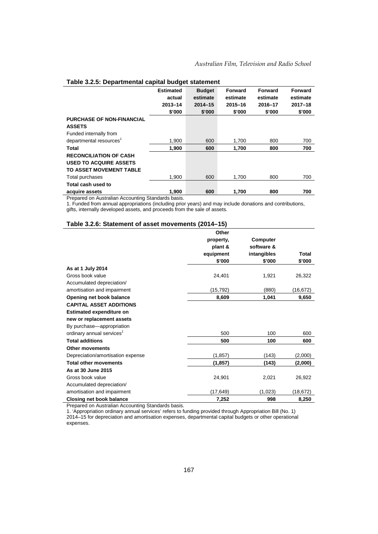|                                     | <b>Estimated</b><br>actual | <b>Budget</b><br>estimate | <b>Forward</b><br>estimate | Forward<br>estimate | <b>Forward</b><br>estimate |
|-------------------------------------|----------------------------|---------------------------|----------------------------|---------------------|----------------------------|
|                                     |                            |                           |                            |                     |                            |
|                                     | $2013 - 14$                | $2014 - 15$               | $2015 - 16$                | 2016-17             | $2017 - 18$                |
|                                     | \$'000                     | \$'000                    | \$'000                     | \$'000              | \$'000                     |
| <b>PURCHASE OF NON-FINANCIAL</b>    |                            |                           |                            |                     |                            |
| <b>ASSETS</b>                       |                            |                           |                            |                     |                            |
| Funded internally from              |                            |                           |                            |                     |                            |
| departmental resources <sup>1</sup> | 1,900                      | 600                       | 1,700                      | 800                 | 700                        |
| Total                               | 1.900                      | 600                       | 1.700                      | 800                 | 700                        |
| <b>RECONCILIATION OF CASH</b>       |                            |                           |                            |                     |                            |
| <b>USED TO ACQUIRE ASSETS</b>       |                            |                           |                            |                     |                            |
| TO ASSET MOVEMENT TABLE             |                            |                           |                            |                     |                            |
| Total purchases                     | 1,900                      | 600                       | 1,700                      | 800                 | 700                        |
| Total cash used to                  |                            |                           |                            |                     |                            |
| acquire assets<br>$\sim$<br>$\sim$  | 1,900                      | 600                       | 1,700                      | 800                 | 700                        |

### **Table 3.2.5: Departmental capital budget statement**

Prepared on Australian Accounting Standards basis.

1. Funded from annual appropriations (including prior years) and may include donations and contributions, gifts, internally developed assets, and proceeds from the sale of assets.

#### **Table 3.2.6: Statement of asset movements (2014–15)**

|                                       | Other     |             |           |
|---------------------------------------|-----------|-------------|-----------|
|                                       | property, | Computer    |           |
|                                       | plant &   | software &  |           |
|                                       | equipment | intangibles | Total     |
|                                       | \$'000    | \$'000      | \$'000    |
| As at 1 July 2014                     |           |             |           |
| Gross book value                      | 24,401    | 1,921       | 26,322    |
| Accumulated depreciation/             |           |             |           |
| amortisation and impairment           | (15,792)  | (880)       | (16,672)  |
| Opening net book balance              | 8,609     | 1,041       | 9,650     |
| <b>CAPITAL ASSET ADDITIONS</b>        |           |             |           |
| <b>Estimated expenditure on</b>       |           |             |           |
| new or replacement assets             |           |             |           |
| By purchase-appropriation             |           |             |           |
| ordinary annual services <sup>1</sup> | 500       | 100         | 600       |
| <b>Total additions</b>                | 500       | 100         | 600       |
| <b>Other movements</b>                |           |             |           |
| Depreciation/amortisation expense     | (1, 857)  | (143)       | (2,000)   |
| <b>Total other movements</b>          | (1, 857)  | (143)       | (2,000)   |
| As at 30 June 2015                    |           |             |           |
| Gross book value                      | 24,901    | 2,021       | 26,922    |
| Accumulated depreciation/             |           |             |           |
| amortisation and impairment           | (17, 649) | (1,023)     | (18, 672) |
| <b>Closing net book balance</b>       | 7,252     | 998         | 8,250     |

Prepared on Australian Accounting Standards basis.

1. 'Appropriation ordinary annual services' refers to funding provided through Appropriation Bill (No. 1) 2014–15 for depreciation and amortisation expenses, departmental capital budgets or other operational expenses.